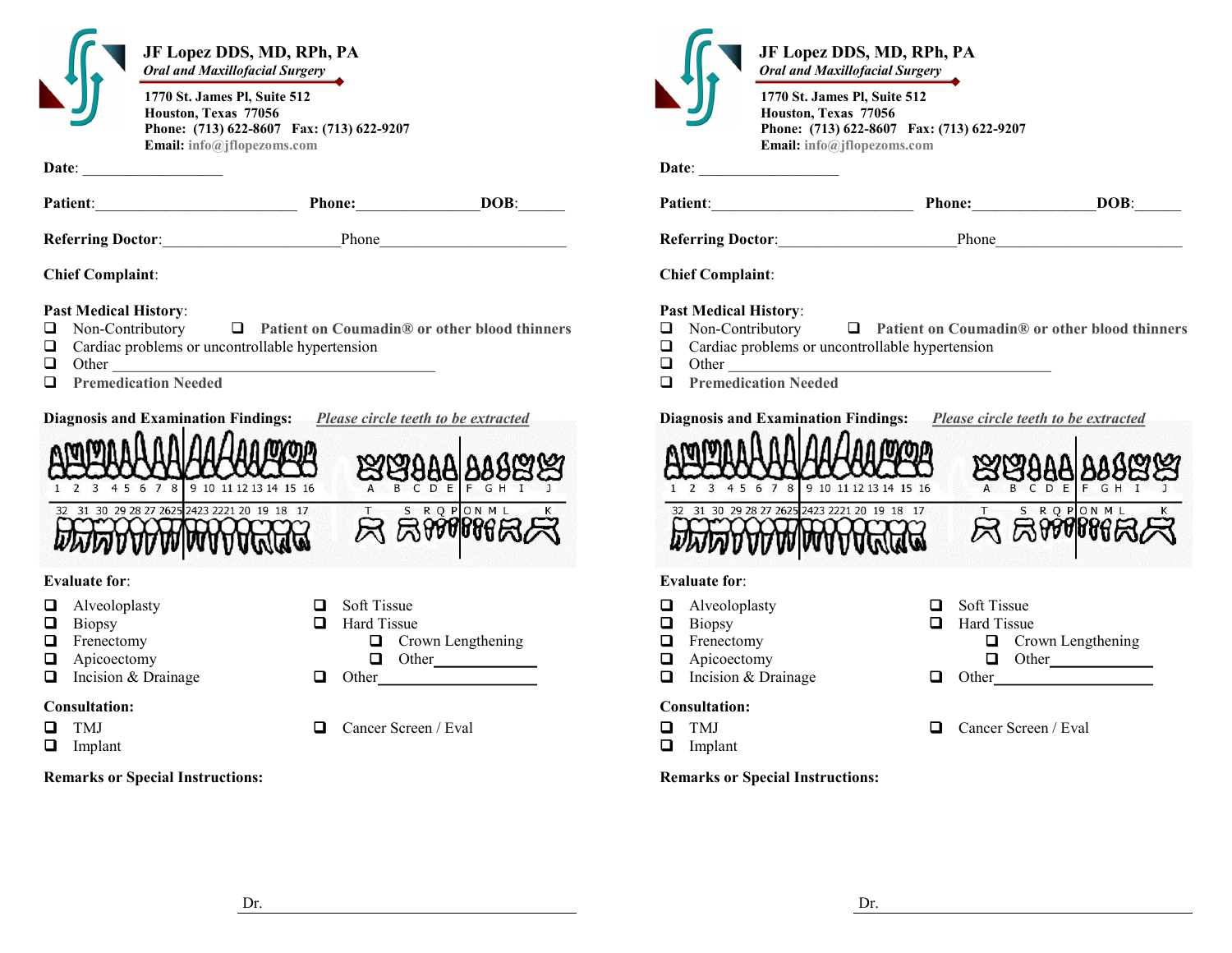| JF Lopez DDS, MD, RPh, PA<br>Oral and Maxillofacial Surgery<br>1770 St. James Pl, Suite 512<br>Houston, Texas 77056<br>Phone: (713) 622-8607 Fax: (713) 622-9207<br>Email: info@jflopezoms.com |                                                                                                                                                                                                                                                                                       | JF Lopez DDS, MD, RPh, PA<br>Oral and Maxillofacial Surgery<br>1770 St. James Pl, Suite 512<br>Houston, Texas 77056<br>Phone: (713) 622-8607 Fax: (713) 622-9207<br>Email: info@jflopezoms.com |                                                                                                        |
|------------------------------------------------------------------------------------------------------------------------------------------------------------------------------------------------|---------------------------------------------------------------------------------------------------------------------------------------------------------------------------------------------------------------------------------------------------------------------------------------|------------------------------------------------------------------------------------------------------------------------------------------------------------------------------------------------|--------------------------------------------------------------------------------------------------------|
|                                                                                                                                                                                                | Patient: DOB: DOB:                                                                                                                                                                                                                                                                    |                                                                                                                                                                                                | Patient: Phone: Phone:<br>DOB:                                                                         |
|                                                                                                                                                                                                | Referring Doctor: Phone Phone                                                                                                                                                                                                                                                         |                                                                                                                                                                                                |                                                                                                        |
| <b>Chief Complaint:</b>                                                                                                                                                                        |                                                                                                                                                                                                                                                                                       | <b>Chief Complaint:</b>                                                                                                                                                                        |                                                                                                        |
| <b>Past Medical History:</b><br>Non-Contributory<br>Cardiac problems or uncontrollable hypertension<br>$\Box$<br>$\Box$<br><b>Premedication Needed</b><br>$\Box$                               | $\Box$ Patient on Coumadin® or other blood thinners<br>Other contract to the contract of the contract of the contract of the contract of the contract of the contract of the contract of the contract of the contract of the contract of the contract of the contract of the contract | <b>Past Medical History:</b><br>$\Box$ Non-Contributory<br>Cardiac problems or uncontrollable hypertension<br>$\Box$<br><b>Premedication Needed</b><br>$\Box$                                  | $\Box$ Patient on Coumadin® or other blood thinners                                                    |
| 1 2 3 4 5 6 7 8 9 10 11 12 13 14 15 16                                                                                                                                                         | Diagnosis and Examination Findings: Please circle teeth to be extracted<br><u>ន្ថេរត្តិទីម៉ឺា ទីទីដូដូដ</u>                                                                                                                                                                           | 1 2 3 4 5 6 7 8 9 10 11 12 13 14 15 16                                                                                                                                                         | Diagnosis and Examination Findings: Please circle teeth to be extracted<br><u>ន្ថែងទំទីទី ទំទ័ងដំន</u> |
| 32 31 30 29 28 27 2625 2423 2221 20 19 18 17<br><b>DELANDA AND AND CALLE</b>                                                                                                                   | S R Q P ON M L<br>$R$ RWW $R$                                                                                                                                                                                                                                                         | 32 31 30 29 28 27 2625 2423 2221 20 19 18 17<br><b>DELANDA AND ARTISTS</b>                                                                                                                     | T S R Q P ON M L<br><b>R</b> RIVINGR                                                                   |
| <b>Evaluate for:</b><br>Alveoloplasty<br>Q<br>Biopsy<br>$\Box$<br>Frenectomy<br>❏<br>O<br>Apicoectomy<br>Incision & Drainage<br>$\Box$                                                         | Soft Tissue<br>Hard Tissue<br>$\Box$<br>$\Box$ Crown Lengthening<br>$\Box$ Other<br>$\Box$ Other                                                                                                                                                                                      | <b>Evaluate for:</b><br>Alveoloplasty<br>Biopsy<br>$\Box$<br>$\Box$ Frenectomy<br>$\Box$ Apicoectomy<br>$\Box$<br>Incision & Drainage                                                          | Soft Tissue<br>0<br>Hard Tissue<br>$\Box$<br>$\Box$ Crown Lengthening<br>$\Box$ Other<br>$\Box$        |
| <b>Consultation:</b><br><b>TMJ</b><br>$\Box$<br>□<br>Implant                                                                                                                                   | Cancer Screen / Eval<br>$\Box$                                                                                                                                                                                                                                                        | <b>Consultation:</b><br>TMJ<br>$\Box$<br>Implant<br>o                                                                                                                                          | Cancer Screen / Eval<br>$\Box$                                                                         |
| <b>Remarks or Special Instructions:</b>                                                                                                                                                        |                                                                                                                                                                                                                                                                                       | <b>Remarks or Special Instructions:</b>                                                                                                                                                        |                                                                                                        |